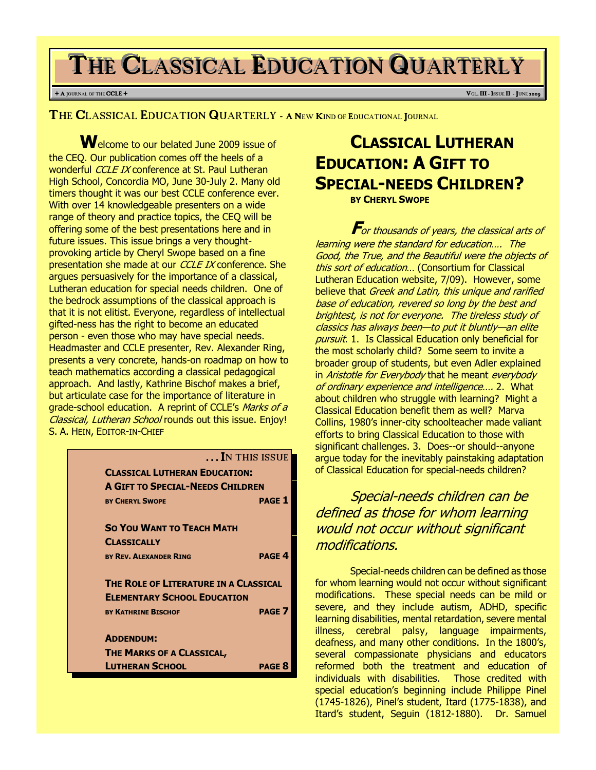# THE CLASSICAL EDUCATION QUARTERLY

### + A JOURNAL OF THE **CCLE** + **V**OL**. III** - ISSUE II - JUNE 2009

THE CLASSICAL EDUCATION QUARTERLY - <sup>A</sup> <sup>N</sup>EW KIND OF EDUCATIONAL JOURNAL

Welcome to our belated June 2009 issue of the CEQ. Our publication comes off the heels of a wonderful *CCLE IX* conference at St. Paul Lutheran High School, Concordia MO, June 30-July 2. Many old timers thought it was our best CCLE conference ever. With over 14 knowledgeable presenters on a wide range of theory and practice topics, the CEQ will be offering some of the best presentations here and in future issues. This issue brings a very thoughtprovoking article by Cheryl Swope based on a fine presentation she made at our CCLE IX conference. She argues persuasively for the importance of a classical, Lutheran education for special needs children. One of the bedrock assumptions of the classical approach is that it is not elitist. Everyone, regardless of intellectual gifted-ness has the right to become an educated person - even those who may have special needs. Headmaster and CCLE presenter, Rev. Alexander Ring, presents a very concrete, hands-on roadmap on how to teach mathematics according a classical pedagogical approach. And lastly, Kathrine Bischof makes a brief, but articulate case for the importance of literature in grade-school education. A reprint of CCLE's Marks of a Classical, Lutheran School rounds out this issue. Enjoy! S. A. HEIN, EDITOR-IN-CHIEF

|                                         | IN THIS ISSUE                        |  |
|-----------------------------------------|--------------------------------------|--|
|                                         | <b>CLASSICAL LUTHERAN EDUCATION:</b> |  |
| <b>A GIFT TO SPECIAL-NEEDS CHILDREN</b> |                                      |  |
| <b>BY CHERYL SWOPE</b>                  | <b>PAGE 1</b>                        |  |
| <b>SO YOU WANT TO TEACH MATH</b>        |                                      |  |
| <b>CLASSICALLY</b>                      |                                      |  |
| <b>BY REV. ALEXANDER RING</b>           | <b>PAGE 4</b>                        |  |
| THE ROLE OF LITERATURE IN A CLASSICAL   |                                      |  |
| <b>ELEMENTARY SCHOOL EDUCATION</b>      |                                      |  |
| <b>BY KATHRINE BISCHOF</b>              | PAGE <sub>7</sub>                    |  |
| <b>ADDENDUM:</b>                        |                                      |  |
| <b>THE MARKS OF A CLASSICAL,</b>        |                                      |  |
| <b>LUTHERAN SCHOOL</b>                  | <b>PAGE 8</b>                        |  |

# CLASSICAL LUTHERAN EDUCATION: A GIFT TO SPECIAL-NEEDS CHILDREN? BY CHERYL SWOPE

For thousands of years, the classical arts of learning were the standard for education…. The Good, the True, and the Beautiful were the objects of this sort of education... (Consortium for Classical Lutheran Education website, 7/09). However, some believe that Greek and Latin, this unique and rarified base of education, revered so long by the best and brightest, is not for everyone. The tireless study of classics has always been—to put it bluntly—an elite pursuit. 1. Is Classical Education only beneficial for the most scholarly child? Some seem to invite a broader group of students, but even Adler explained in Aristotle for Everybody that he meant everybody of ordinary experience and intelligence…. 2. What about children who struggle with learning? Might a Classical Education benefit them as well? Marva Collins, 1980's inner-city schoolteacher made valiant efforts to bring Classical Education to those with significant challenges. 3. Does--or should--anyone argue today for the inevitably painstaking adaptation of Classical Education for special-needs children?

Special-needs children can be defined as those for whom learning would not occur without significant modifications.

Special-needs children can be defined as those for whom learning would not occur without significant modifications. These special needs can be mild or severe, and they include autism, ADHD, specific learning disabilities, mental retardation, severe mental illness, cerebral palsy, language impairments, deafness, and many other conditions. In the 1800's, several compassionate physicians and educators reformed both the treatment and education of individuals with disabilities. Those credited with special education's beginning include Philippe Pinel (1745-1826), Pinel's student, Itard (1775-1838), and Itard's student, Seguin (1812-1880). Dr. Samuel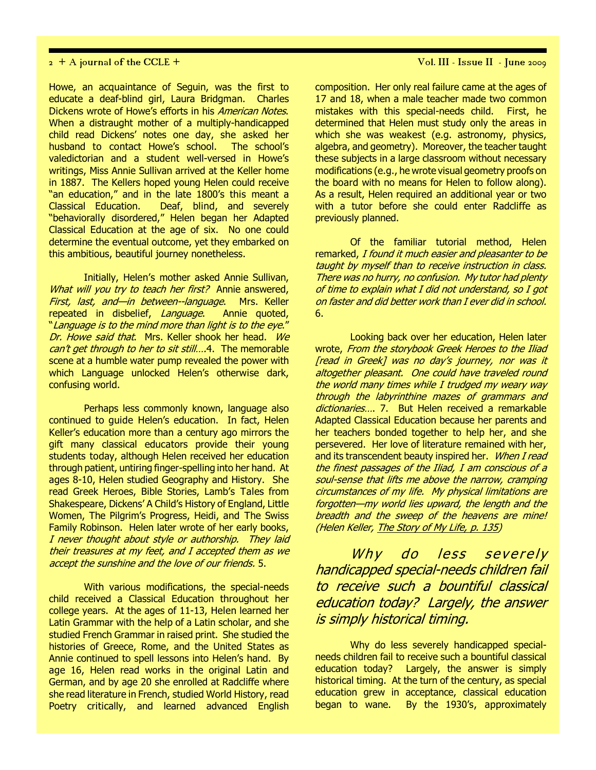Howe, an acquaintance of Seguin, was the first to educate a deaf-blind girl, Laura Bridgman. Charles Dickens wrote of Howe's efforts in his *American Notes*. When a distraught mother of a multiply-handicapped child read Dickens' notes one day, she asked her husband to contact Howe's school. The school's valedictorian and a student well-versed in Howe's writings, Miss Annie Sullivan arrived at the Keller home in 1887. The Kellers hoped young Helen could receive "an education," and in the late 1800's this meant a Classical Education. Deaf, blind, and severely "behaviorally disordered," Helen began her Adapted Classical Education at the age of six. No one could determine the eventual outcome, yet they embarked on this ambitious, beautiful journey nonetheless.

Initially, Helen's mother asked Annie Sullivan, What will you try to teach her first? Annie answered, First, last, and—in between--language. Mrs. Keller repeated in disbelief, Language. Annie quoted, "Language is to the mind more than light is to the eye." Dr. Howe said that. Mrs. Keller shook her head. We can't get through to her to sit still....4. The memorable scene at a humble water pump revealed the power with which Language unlocked Helen's otherwise dark, confusing world.

Perhaps less commonly known, language also continued to guide Helen's education. In fact, Helen Keller's education more than a century ago mirrors the gift many classical educators provide their young students today, although Helen received her education through patient, untiring finger-spelling into her hand. At ages 8-10, Helen studied Geography and History. She read Greek Heroes, Bible Stories, Lamb's Tales from Shakespeare, Dickens' A Child's History of England, Little Women, The Pilgrim's Progress, Heidi, and The Swiss Family Robinson. Helen later wrote of her early books, I never thought about style or authorship. They laid their treasures at my feet, and I accepted them as we accept the sunshine and the love of our friends. 5.

With various modifications, the special-needs child received a Classical Education throughout her college years. At the ages of 11-13, Helen learned her Latin Grammar with the help of a Latin scholar, and she studied French Grammar in raised print. She studied the histories of Greece, Rome, and the United States as Annie continued to spell lessons into Helen's hand. By age 16, Helen read works in the original Latin and German, and by age 20 she enrolled at Radcliffe where she read literature in French, studied World History, read Poetry critically, and learned advanced English

 $2 + A$  journal of the CCLE +  $\sqrt{2}$  Vol. III - Issue II - June 2009

composition. Her only real failure came at the ages of 17 and 18, when a male teacher made two common mistakes with this special-needs child. First, he determined that Helen must study only the areas in which she was weakest (e.g. astronomy, physics, algebra, and geometry). Moreover, the teacher taught these subjects in a large classroom without necessary modifications (e.g., he wrote visual geometry proofs on the board with no means for Helen to follow along). As a result, Helen required an additional year or two with a tutor before she could enter Radcliffe as previously planned.

Of the familiar tutorial method, Helen remarked, I found it much easier and pleasanter to be taught by myself than to receive instruction in class. There was no hurry, no confusion. My tutor had plenty of time to explain what I did not understand, so I got on faster and did better work than I ever did in school. 6.

Looking back over her education, Helen later wrote, From the storybook Greek Heroes to the Iliad [read in Greek] was no day's journey, nor was it altogether pleasant. One could have traveled round the world many times while I trudged my weary way through the labyrinthine mazes of grammars and dictionaries.... 7. But Helen received a remarkable Adapted Classical Education because her parents and her teachers bonded together to help her, and she persevered. Her love of literature remained with her, and its transcendent beauty inspired her. When I read the finest passages of the Iliad, I am conscious of a soul-sense that lifts me above the narrow, cramping circumstances of my life. My physical limitations are forgotten—my world lies upward, the length and the breadth and the sweep of the heavens are mine! (Helen Keller, The Story of My Life, p. 135)

Why do less severely handicapped special-needs children fail to receive such a bountiful classical education today? Largely, the answer is simply historical timing.

Why do less severely handicapped specialneeds children fail to receive such a bountiful classical education today? Largely, the answer is simply historical timing. At the turn of the century, as special education grew in acceptance, classical education began to wane. By the 1930's, approximately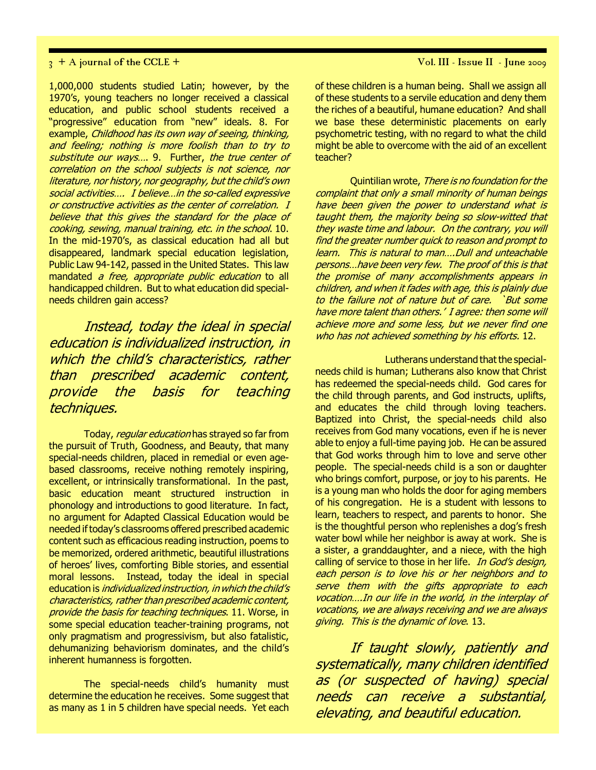1,000,000 students studied Latin; however, by the 1970's, young teachers no longer received a classical education, and public school students received a "progressive" education from "new" ideals. 8. For example, Childhood has its own way of seeing, thinking, and feeling; nothing is more foolish than to try to substitute our ways.... 9. Further, the true center of correlation on the school subjects is not science, nor literature, nor history, nor geography, but the child's own social activities…. I believe…in the so-called expressive or constructive activities as the center of correlation. I believe that this gives the standard for the place of cooking, sewing, manual training, etc. in the school. 10. In the mid-1970's, as classical education had all but disappeared, landmark special education legislation, Public Law 94-142, passed in the United States. This law mandated *a free, appropriate public education* to all handicapped children. But to what education did specialneeds children gain access?

Instead, today the ideal in special education is individualized instruction, in which the child's characteristics, rather than prescribed academic content, provide the basis for teaching techniques.

Today, regular education has strayed so far from the pursuit of Truth, Goodness, and Beauty, that many special-needs children, placed in remedial or even agebased classrooms, receive nothing remotely inspiring, excellent, or intrinsically transformational. In the past, basic education meant structured instruction in phonology and introductions to good literature. In fact, no argument for Adapted Classical Education would be needed if today's classrooms offered prescribed academic content such as efficacious reading instruction, poems to be memorized, ordered arithmetic, beautiful illustrations of heroes' lives, comforting Bible stories, and essential moral lessons. Instead, today the ideal in special education is *individualized instruction, in which the child's* characteristics, rather than prescribed academic content, provide the basis for teaching techniques. 11. Worse, in some special education teacher-training programs, not only pragmatism and progressivism, but also fatalistic, dehumanizing behaviorism dominates, and the child's inherent humanness is forgotten.

The special-needs child's humanity must determine the education he receives. Some suggest that as many as 1 in 5 children have special needs. Yet each of these children is a human being. Shall we assign all of these students to a servile education and deny them the riches of a beautiful, humane education? And shall we base these deterministic placements on early psychometric testing, with no regard to what the child might be able to overcome with the aid of an excellent teacher?

Quintilian wrote, There is no foundation for the complaint that only a small minority of human beings have been given the power to understand what is taught them, the majority being so slow-witted that they waste time and labour. On the contrary, you will find the greater number quick to reason and prompt to learn. This is natural to man….Dull and unteachable persons…have been very few. The proof of this is that the promise of many accomplishments appears in children, and when it fades with age, this is plainly due to the failure not of nature but of care. `But some have more talent than others.' I agree: then some will achieve more and some less, but we never find one who has not achieved something by his efforts. 12.

Lutherans understand that the specialneeds child is human; Lutherans also know that Christ has redeemed the special-needs child. God cares for the child through parents, and God instructs, uplifts, and educates the child through loving teachers. Baptized into Christ, the special-needs child also receives from God many vocations, even if he is never able to enjoy a full-time paying job. He can be assured that God works through him to love and serve other people. The special-needs child is a son or daughter who brings comfort, purpose, or joy to his parents. He is a young man who holds the door for aging members of his congregation. He is a student with lessons to learn, teachers to respect, and parents to honor. She is the thoughtful person who replenishes a dog's fresh water bowl while her neighbor is away at work. She is a sister, a granddaughter, and a niece, with the high calling of service to those in her life. In God's design, each person is to love his or her neighbors and to serve them with the gifts appropriate to each vocation….In our life in the world, in the interplay of vocations, we are always receiving and we are always giving. This is the dynamic of love. 13.

If taught slowly, patiently and systematically, many children identified as (or suspected of having) special needs can receive a substantial, elevating, and beautiful education.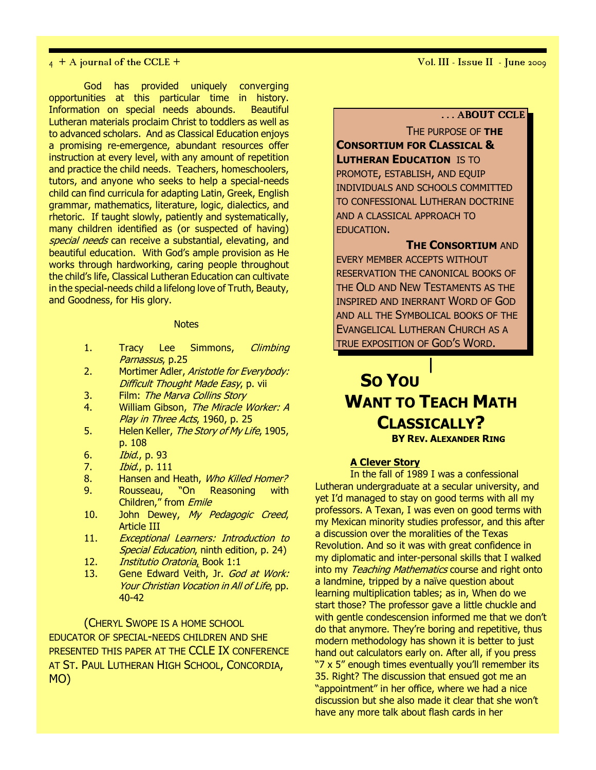God has provided uniquely converging opportunities at this particular time in history. Information on special needs abounds. Beautiful Lutheran materials proclaim Christ to toddlers as well as to advanced scholars. And as Classical Education enjoys a promising re-emergence, abundant resources offer instruction at every level, with any amount of repetition and practice the child needs. Teachers, homeschoolers, tutors, and anyone who seeks to help a special-needs child can find curricula for adapting Latin, Greek, English grammar, mathematics, literature, logic, dialectics, and rhetoric. If taught slowly, patiently and systematically, many children identified as (or suspected of having) special needs can receive a substantial, elevating, and beautiful education. With God's ample provision as He works through hardworking, caring people throughout the child's life, Classical Lutheran Education can cultivate in the special-needs child a lifelong love of Truth, Beauty, and Goodness, for His glory.

### **Notes**

- 1. Tracy Lee Simmons, *Climbing* Parnassus, p.25
- 2. Mortimer Adler, Aristotle for Everybody: Difficult Thought Made Easy, p. vii
- 3. Film: The Marva Collins Story
- 4. William Gibson, The Miracle Worker: A Play in Three Acts, 1960, p. 25
- 5. Helen Keller, The Story of My Life, 1905, p. 108
- 6. Ibid., p. 93
- 7. Ibid., p. 111
- 8. Hansen and Heath, Who Killed Homer?
- 9. Rousseau, "On Reasoning with Children," from Emile
- 10. John Dewey, My Pedagogic Creed, Article III
- 11. Exceptional Learners: Introduction to Special Education, ninth edition, p. 24)
- 12. Institutio Oratoria, Book 1:1
- 13. Gene Edward Veith, Jr. God at Work: Your Christian Vocation in All of Life, pp. 40-42

(CHERYL SWOPE IS A HOME SCHOOL EDUCATOR OF SPECIAL-NEEDS CHILDREN AND SHE PRESENTED THIS PAPER AT THE CCLE IX CONFERENCE AT ST. PAUL LUTHERAN HIGH SCHOOL, CONCORDIA, MO)

### . . . ABOUT CCLE

THE PURPOSE OF THE CONSORTIUM FOR CLASSICAL & **LUTHERAN EDUCATION IS TO** PROMOTE, ESTABLISH, AND EQUIP INDIVIDUALS AND SCHOOLS COMMITTED TO CONFESSIONAL LUTHERAN DOCTRINE AND A CLASSICAL APPROACH TO EDUCATION.

**THE CONSORTIUM AND** 

EVERY MEMBER ACCEPTS WITHOUT RESERVATION THE CANONICAL BOOKS OF THE OLD AND NEW TESTAMENTS AS THE INSPIRED AND INERRANT WORD OF GOD AND ALL THE SYMBOLICAL BOOKS OF THE EVANGELICAL LUTHERAN CHURCH AS A TRUE EXPOSITION OF GOD'S WORD.

# SO YOU WANT TO **TEACH MATH** CLASSICALLY? BY REV. ALEXANDER RING

### A Clever Story

In the fall of 1989 I was a confessional Lutheran undergraduate at a secular university, and yet I'd managed to stay on good terms with all my professors. A Texan, I was even on good terms with my Mexican minority studies professor, and this after a discussion over the moralities of the Texas Revolution. And so it was with great confidence in my diplomatic and inter-personal skills that I walked into my Teaching Mathematics course and right onto a landmine, tripped by a naïve question about learning multiplication tables; as in, When do we start those? The professor gave a little chuckle and with gentle condescension informed me that we don't do that anymore. They're boring and repetitive, thus modern methodology has shown it is better to just hand out calculators early on. After all, if you press "7 x 5" enough times eventually you'll remember its 35. Right? The discussion that ensued got me an "appointment" in her office, where we had a nice discussion but she also made it clear that she won't have any more talk about flash cards in her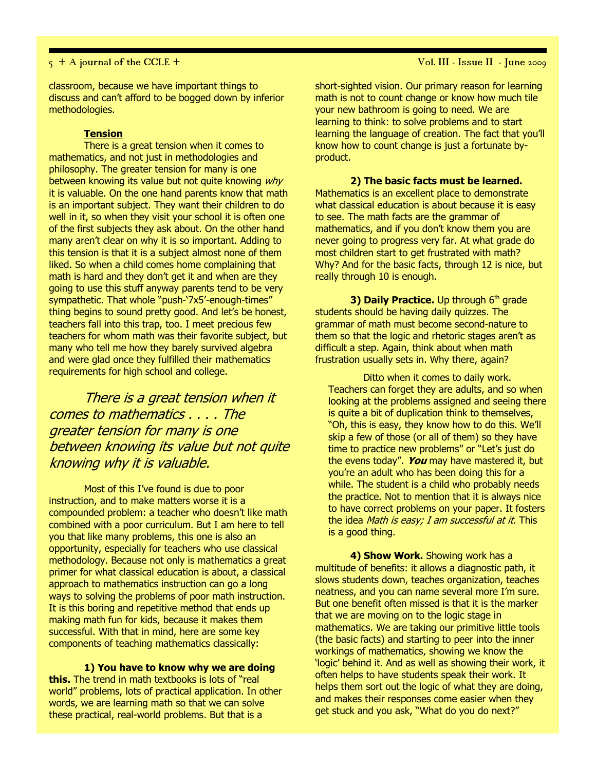### $5 + A$  journal of the CCLE +  $\overline{V}$  vol. III - Issue II - June 2009

classroom, because we have important things to discuss and can't afford to be bogged down by inferior methodologies.

### **Tension**

There is a great tension when it comes to mathematics, and not just in methodologies and philosophy. The greater tension for many is one between knowing its value but not quite knowing why it is valuable. On the one hand parents know that math is an important subject. They want their children to do well in it, so when they visit your school it is often one of the first subjects they ask about. On the other hand many aren't clear on why it is so important. Adding to this tension is that it is a subject almost none of them liked. So when a child comes home complaining that math is hard and they don't get it and when are they going to use this stuff anyway parents tend to be very sympathetic. That whole "push-'7x5'-enough-times" thing begins to sound pretty good. And let's be honest, teachers fall into this trap, too. I meet precious few teachers for whom math was their favorite subject, but many who tell me how they barely survived algebra and were glad once they fulfilled their mathematics requirements for high school and college.

There is a great tension when it comes to mathematics . . . . The greater tension for many is one between knowing its value but not quite knowing why it is valuable.

Most of this I've found is due to poor instruction, and to make matters worse it is a compounded problem: a teacher who doesn't like math combined with a poor curriculum. But I am here to tell you that like many problems, this one is also an opportunity, especially for teachers who use classical methodology. Because not only is mathematics a great primer for what classical education is about, a classical approach to mathematics instruction can go a long ways to solving the problems of poor math instruction. It is this boring and repetitive method that ends up making math fun for kids, because it makes them successful. With that in mind, here are some key components of teaching mathematics classically:

1) You have to know why we are doing

this. The trend in math textbooks is lots of "real world" problems, lots of practical application. In other words, we are learning math so that we can solve these practical, real-world problems. But that is a

short-sighted vision. Our primary reason for learning math is not to count change or know how much tile your new bathroom is going to need. We are learning to think: to solve problems and to start learning the language of creation. The fact that you'll know how to count change is just a fortunate byproduct.

2) The basic facts must be learned. Mathematics is an excellent place to demonstrate what classical education is about because it is easy to see. The math facts are the grammar of mathematics, and if you don't know them you are never going to progress very far. At what grade do most children start to get frustrated with math? Why? And for the basic facts, through 12 is nice, but really through 10 is enough.

3) Daily Practice. Up through  $6<sup>th</sup>$  grade students should be having daily quizzes. The grammar of math must become second-nature to them so that the logic and rhetoric stages aren't as difficult a step. Again, think about when math frustration usually sets in. Why there, again?

Ditto when it comes to daily work. Teachers can forget they are adults, and so when looking at the problems assigned and seeing there is quite a bit of duplication think to themselves, "Oh, this is easy, they know how to do this. We'll skip a few of those (or all of them) so they have time to practice new problems" or "Let's just do the evens today". You may have mastered it, but you're an adult who has been doing this for a while. The student is a child who probably needs the practice. Not to mention that it is always nice to have correct problems on your paper. It fosters the idea Math is easy; I am successful at it. This is a good thing.

4) Show Work. Showing work has a multitude of benefits: it allows a diagnostic path, it slows students down, teaches organization, teaches neatness, and you can name several more I'm sure. But one benefit often missed is that it is the marker that we are moving on to the logic stage in mathematics. We are taking our primitive little tools (the basic facts) and starting to peer into the inner workings of mathematics, showing we know the 'logic' behind it. And as well as showing their work, it often helps to have students speak their work. It helps them sort out the logic of what they are doing, and makes their responses come easier when they get stuck and you ask, "What do you do next?"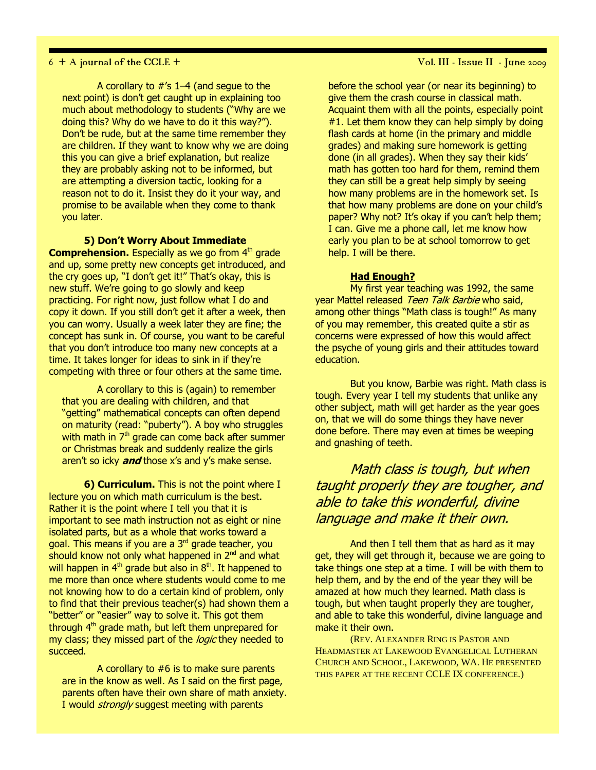A corollary to #'s 1–4 (and segue to the next point) is don't get caught up in explaining too much about methodology to students ("Why are we doing this? Why do we have to do it this way?"). Don't be rude, but at the same time remember they are children. If they want to know why we are doing this you can give a brief explanation, but realize they are probably asking not to be informed, but are attempting a diversion tactic, looking for a reason not to do it. Insist they do it your way, and promise to be available when they come to thank you later.

### 5) Don't Worry About Immediate

**Comprehension.** Especially as we go from  $4<sup>th</sup>$  grade and up, some pretty new concepts get introduced, and the cry goes up, "I don't get it!" That's okay, this is new stuff. We're going to go slowly and keep practicing. For right now, just follow what I do and copy it down. If you still don't get it after a week, then you can worry. Usually a week later they are fine; the concept has sunk in. Of course, you want to be careful that you don't introduce too many new concepts at a time. It takes longer for ideas to sink in if they're competing with three or four others at the same time.

A corollary to this is (again) to remember that you are dealing with children, and that "getting" mathematical concepts can often depend on maturity (read: "puberty"). A boy who struggles with math in  $7<sup>th</sup>$  grade can come back after summer or Christmas break and suddenly realize the girls aren't so icky *and* those x's and y's make sense.

**6) Curriculum.** This is not the point where I lecture you on which math curriculum is the best. Rather it is the point where I tell you that it is important to see math instruction not as eight or nine isolated parts, but as a whole that works toward a goal. This means if you are a 3rd grade teacher, you should know not only what happened in  $2<sup>nd</sup>$  and what will happen in  $4<sup>th</sup>$  grade but also in  $8<sup>th</sup>$ . It happened to me more than once where students would come to me not knowing how to do a certain kind of problem, only to find that their previous teacher(s) had shown them a "better" or "easier" way to solve it. This got them through  $4<sup>th</sup>$  grade math, but left them unprepared for my class; they missed part of the *logic* they needed to succeed.

A corollary to #6 is to make sure parents are in the know as well. As I said on the first page, parents often have their own share of math anxiety. I would *strongly* suggest meeting with parents

6 + A journal of the CCLE + Vol. III - Issue II - June 2009

before the school year (or near its beginning) to give them the crash course in classical math. Acquaint them with all the points, especially point  $#1$ . Let them know they can help simply by doing flash cards at home (in the primary and middle grades) and making sure homework is getting done (in all grades). When they say their kids' math has gotten too hard for them, remind them they can still be a great help simply by seeing how many problems are in the homework set. Is that how many problems are done on your child's paper? Why not? It's okay if you can't help them; I can. Give me a phone call, let me know how early you plan to be at school tomorrow to get help. I will be there.

### Had Enough?

My first year teaching was 1992, the same year Mattel released Teen Talk Barbie who said, among other things "Math class is tough!" As many of you may remember, this created quite a stir as concerns were expressed of how this would affect the psyche of young girls and their attitudes toward education.

But you know, Barbie was right. Math class is tough. Every year I tell my students that unlike any other subject, math will get harder as the year goes on, that we will do some things they have never done before. There may even at times be weeping and gnashing of teeth.

Math class is tough, but when taught properly they are tougher, and able to take this wonderful, divine language and make it their own.

And then I tell them that as hard as it may get, they will get through it, because we are going to take things one step at a time. I will be with them to help them, and by the end of the year they will be amazed at how much they learned. Math class is tough, but when taught properly they are tougher, and able to take this wonderful, divine language and make it their own.

(REV. ALEXANDER RING IS PASTOR AND HEADMASTER AT LAKEWOOD EVANGELICAL LUTHERAN CHURCH AND SCHOOL, LAKEWOOD, WA. HE PRESENTED THIS PAPER AT THE RECENT CCLE IX CONFERENCE.)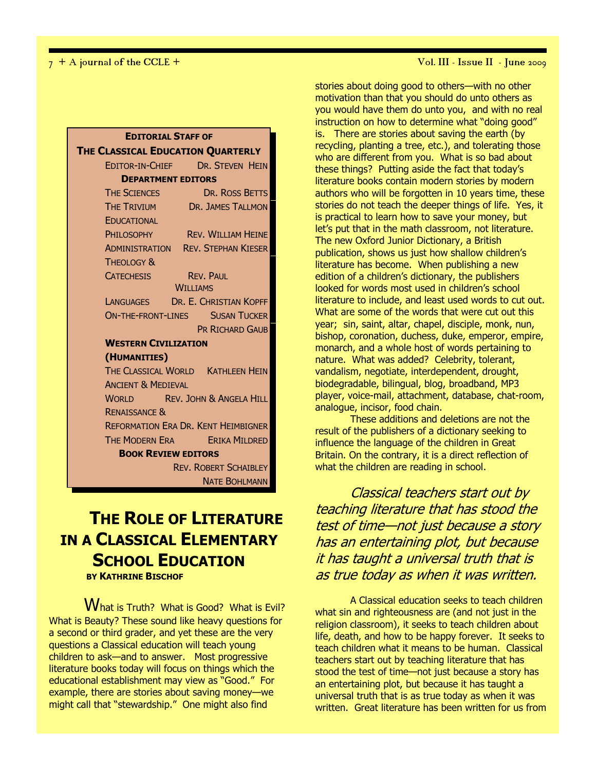| <b>EDITORIAL STAFF OF</b>                  |                                           |  |  |
|--------------------------------------------|-------------------------------------------|--|--|
| THE CLASSICAL EDUCATION QUARTERLY          |                                           |  |  |
|                                            | EDITOR-IN-CHIEF DR. STEVEN HEIN           |  |  |
| <b>DEPARTMENT EDITORS</b>                  |                                           |  |  |
| <b>THE SCIENCES</b>                        | DR. ROSS BETTS                            |  |  |
| <b>THE TRIVIUM</b>                         | DR. JAMES TALLMON                         |  |  |
| EDUCATIONAL                                |                                           |  |  |
| PHII OSOPHY                                | <b>REV. WILLIAM HEINE</b>                 |  |  |
|                                            | <b>ADMINISTRATION REV. STEPHAN KIESER</b> |  |  |
| <b>THEOLOGY &amp;</b>                      |                                           |  |  |
| <b>CATECHESIS</b>                          | <b>REV. PAUL</b>                          |  |  |
|                                            | <b>WILLIAMS</b>                           |  |  |
|                                            | LANGUAGES DR. E. CHRISTIAN KOPFF          |  |  |
| <b>ON-THE-FRONT-LINES SUSAN TUCKER</b>     |                                           |  |  |
| <b>PR RICHARD GAUB</b>                     |                                           |  |  |
| <b>WESTERN CIVILIZATION</b>                |                                           |  |  |
| (HUMANITIES)                               |                                           |  |  |
| THE CLASSICAL WORLD KATHLEEN HEIN          |                                           |  |  |
| <b>ANCIENT &amp; MEDIEVAL</b>              |                                           |  |  |
| <b>WORLD REV. JOHN &amp; ANGELA HILL</b>   |                                           |  |  |
| <b>RENAISSANCE &amp;</b>                   |                                           |  |  |
| <b>REFORMATION ERA DR. KENT HEIMBIGNER</b> |                                           |  |  |
|                                            | THE MODERN ERA ERIKA MILDRED              |  |  |
| <b>BOOK REVIEW EDITORS</b>                 |                                           |  |  |
| <b>REV. ROBERT SCHAIBLEY</b>               |                                           |  |  |
|                                            | <b>NATE BOHLMANN</b>                      |  |  |

## THE ROLE OF LITERATURE IN A CLASSICAL ELEMENTARY SCHOOL EDUCATION BY KATHRINE BISCHOF

What is Truth? What is Good? What is Evil? What is Beauty? These sound like heavy questions for a second or third grader, and yet these are the very questions a Classical education will teach young children to ask—and to answer. Most progressive literature books today will focus on things which the educational establishment may view as "Good." For example, there are stories about saving money—we might call that "stewardship." One might also find

7 + A journal of the CCLE + Vol. III - Issue II - June 2009

stories about doing good to others—with no other motivation than that you should do unto others as you would have them do unto you, and with no real instruction on how to determine what "doing good" is. There are stories about saving the earth (by recycling, planting a tree, etc.), and tolerating those who are different from you. What is so bad about these things? Putting aside the fact that today's literature books contain modern stories by modern authors who will be forgotten in 10 years time, these stories do not teach the deeper things of life. Yes, it is practical to learn how to save your money, but let's put that in the math classroom, not literature. The new Oxford Junior Dictionary, a British publication, shows us just how shallow children's literature has become. When publishing a new edition of a children's dictionary, the publishers looked for words most used in children's school literature to include, and least used words to cut out. What are some of the words that were cut out this year; sin, saint, altar, chapel, disciple, monk, nun, bishop, coronation, duchess, duke, emperor, empire, monarch, and a whole host of words pertaining to nature. What was added? Celebrity, tolerant, vandalism, negotiate, interdependent, drought, biodegradable, bilingual, blog, broadband, MP3 player, voice-mail, attachment, database, chat-room, analogue, incisor, food chain.

These additions and deletions are not the result of the publishers of a dictionary seeking to influence the language of the children in Great Britain. On the contrary, it is a direct reflection of what the children are reading in school.

Classical teachers start out by teaching literature that has stood the test of time—not just because a story has an entertaining plot, but because it has taught a universal truth that is as true today as when it was written.

A Classical education seeks to teach children what sin and righteousness are (and not just in the religion classroom), it seeks to teach children about life, death, and how to be happy forever. It seeks to teach children what it means to be human. Classical teachers start out by teaching literature that has stood the test of time—not just because a story has an entertaining plot, but because it has taught a universal truth that is as true today as when it was written. Great literature has been written for us from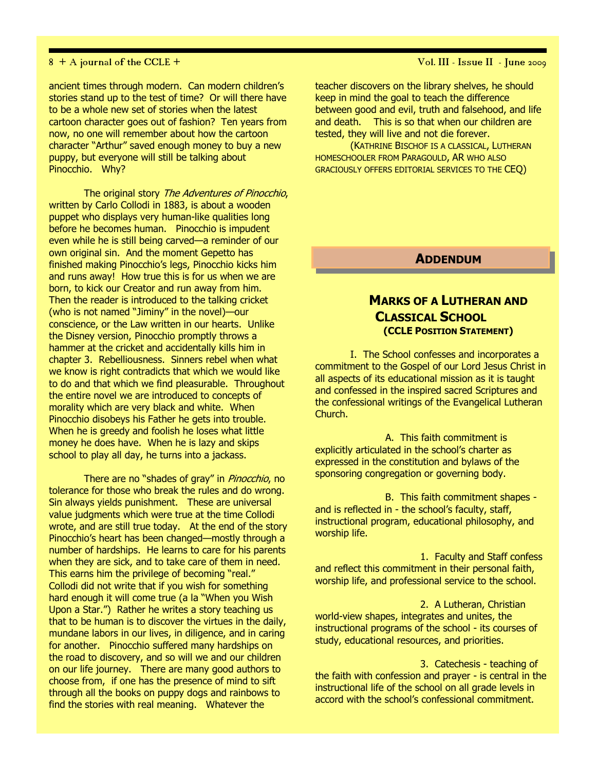ancient times through modern. Can modern children's stories stand up to the test of time? Or will there have to be a whole new set of stories when the latest cartoon character goes out of fashion? Ten years from now, no one will remember about how the cartoon character "Arthur" saved enough money to buy a new puppy, but everyone will still be talking about Pinocchio. Why?

The original story The Adventures of Pinocchio, written by Carlo Collodi in 1883, is about a wooden puppet who displays very human-like qualities long before he becomes human. Pinocchio is impudent even while he is still being carved—a reminder of our own original sin. And the moment Gepetto has finished making Pinocchio's legs, Pinocchio kicks him and runs away! How true this is for us when we are born, to kick our Creator and run away from him. Then the reader is introduced to the talking cricket (who is not named "Jiminy" in the novel)—our conscience, or the Law written in our hearts. Unlike the Disney version, Pinocchio promptly throws a hammer at the cricket and accidentally kills him in chapter 3. Rebelliousness. Sinners rebel when what we know is right contradicts that which we would like to do and that which we find pleasurable. Throughout the entire novel we are introduced to concepts of morality which are very black and white. When Pinocchio disobeys his Father he gets into trouble. When he is greedy and foolish he loses what little money he does have. When he is lazy and skips school to play all day, he turns into a jackass.

There are no "shades of gray" in *Pinocchio*, no tolerance for those who break the rules and do wrong. Sin always yields punishment. These are universal value judgments which were true at the time Collodi wrote, and are still true today. At the end of the story Pinocchio's heart has been changed—mostly through a number of hardships. He learns to care for his parents when they are sick, and to take care of them in need. This earns him the privilege of becoming "real." Collodi did not write that if you wish for something hard enough it will come true (a la "When you Wish Upon a Star.") Rather he writes a story teaching us that to be human is to discover the virtues in the daily, mundane labors in our lives, in diligence, and in caring for another. Pinocchio suffered many hardships on the road to discovery, and so will we and our children on our life journey. There are many good authors to choose from, if one has the presence of mind to sift through all the books on puppy dogs and rainbows to find the stories with real meaning. Whatever the

### 8 + A journal of the CCLE + Vol. III - Issue II - June 2009

teacher discovers on the library shelves, he should keep in mind the goal to teach the difference between good and evil, truth and falsehood, and life and death. This is so that when our children are tested, they will live and not die forever.

(KATHRINE BISCHOF IS A CLASSICAL, LUTHERAN HOMESCHOOLER FROM PARAGOULD, AR WHO ALSO GRACIOUSLY OFFERS EDITORIAL SERVICES TO THE CEQ)

### ADDENDUM

### MARKS OF A LUTHERAN AND CLASSICAL SCHOOL (CCLE POSITION STATEMENT)

I. The School confesses and incorporates a commitment to the Gospel of our Lord Jesus Christ in all aspects of its educational mission as it is taught and confessed in the inspired sacred Scriptures and the confessional writings of the Evangelical Lutheran Church.

A. This faith commitment is explicitly articulated in the school's charter as expressed in the constitution and bylaws of the sponsoring congregation or governing body.

B. This faith commitment shapes and is reflected in - the school's faculty, staff, instructional program, educational philosophy, and worship life.

1. Faculty and Staff confess and reflect this commitment in their personal faith, worship life, and professional service to the school.

2. A Lutheran, Christian world-view shapes, integrates and unites, the instructional programs of the school - its courses of study, educational resources, and priorities.

3. Catechesis - teaching of the faith with confession and prayer - is central in the instructional life of the school on all grade levels in accord with the school's confessional commitment.